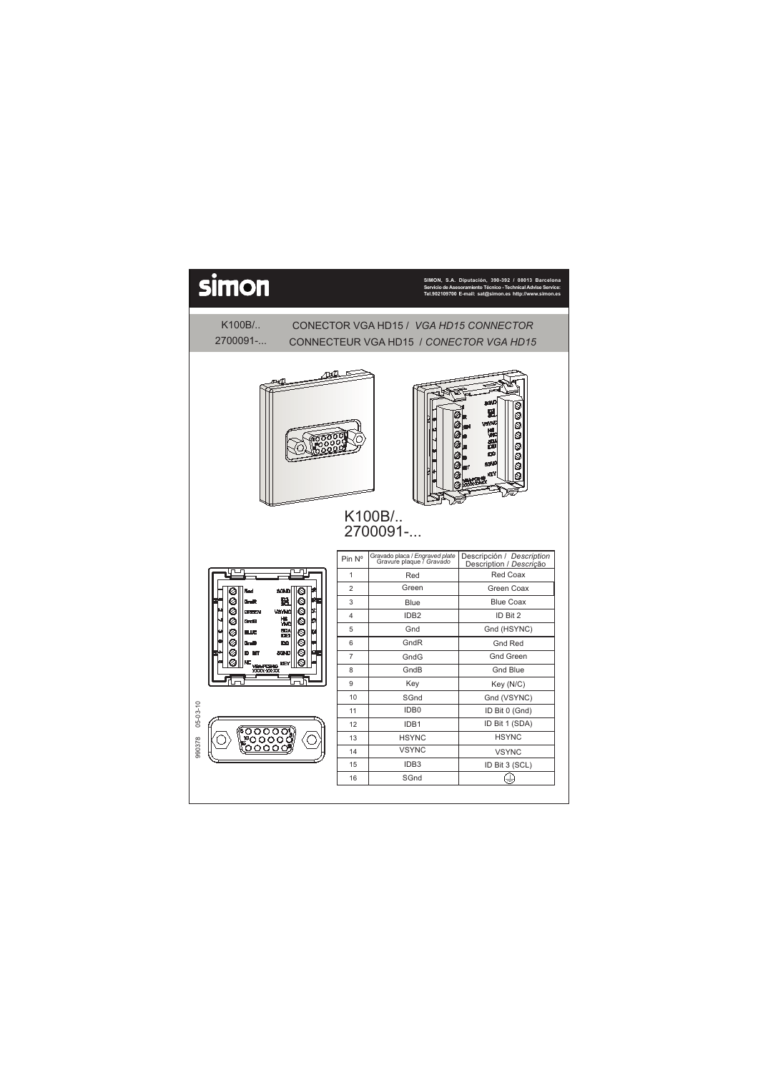